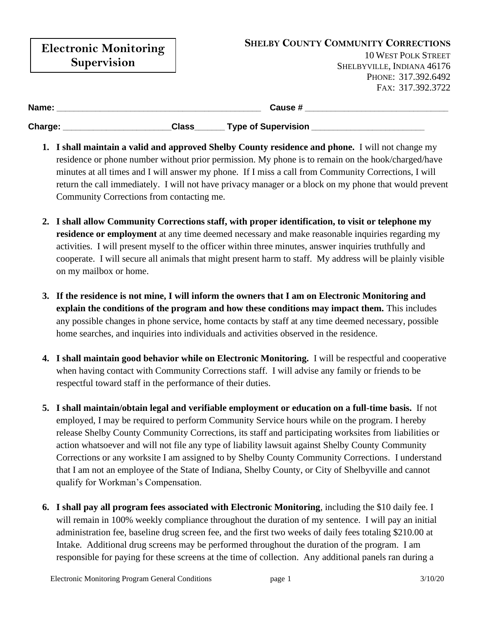| <b>Electronic Monitoring</b><br><b>Supervision</b> |                                 | <b>SHELBY COUNTY COMMUNITY CORRECTIONS</b><br><b>10 WEST POLK STREET</b><br>SHELBYVILLE, INDIANA 46176 |
|----------------------------------------------------|---------------------------------|--------------------------------------------------------------------------------------------------------|
|                                                    |                                 | PHONE: 317.392.6492                                                                                    |
|                                                    |                                 | FAX: 317.392.3722                                                                                      |
| Name:                                              | Cause #                         |                                                                                                        |
| Charge:                                            | __ Type of Supervision<br>Class |                                                                                                        |

- **1. I shall maintain a valid and approved Shelby County residence and phone.** I will not change my residence or phone number without prior permission. My phone is to remain on the hook/charged/have minutes at all times and I will answer my phone. If I miss a call from Community Corrections, I will return the call immediately. I will not have privacy manager or a block on my phone that would prevent Community Corrections from contacting me.
- **2. I shall allow Community Corrections staff, with proper identification, to visit or telephone my residence or employment** at any time deemed necessary and make reasonable inquiries regarding my activities. I will present myself to the officer within three minutes, answer inquiries truthfully and cooperate. I will secure all animals that might present harm to staff. My address will be plainly visible on my mailbox or home.
- **3. If the residence is not mine, I will inform the owners that I am on Electronic Monitoring and explain the conditions of the program and how these conditions may impact them.** This includes any possible changes in phone service, home contacts by staff at any time deemed necessary, possible home searches, and inquiries into individuals and activities observed in the residence.
- **4. I shall maintain good behavior while on Electronic Monitoring.** I will be respectful and cooperative when having contact with Community Corrections staff. I will advise any family or friends to be respectful toward staff in the performance of their duties.
- **5. I shall maintain/obtain legal and verifiable employment or education on a full-time basis.** If not employed, I may be required to perform Community Service hours while on the program. I hereby release Shelby County Community Corrections, its staff and participating worksites from liabilities or action whatsoever and will not file any type of liability lawsuit against Shelby County Community Corrections or any worksite I am assigned to by Shelby County Community Corrections. I understand that I am not an employee of the State of Indiana, Shelby County, or City of Shelbyville and cannot qualify for Workman's Compensation.
- **6. I shall pay all program fees associated with Electronic Monitoring**, including the \$10 daily fee. I will remain in 100% weekly compliance throughout the duration of my sentence. I will pay an initial administration fee, baseline drug screen fee, and the first two weeks of daily fees totaling \$210.00 at Intake. Additional drug screens may be performed throughout the duration of the program. I am responsible for paying for these screens at the time of collection. Any additional panels ran during a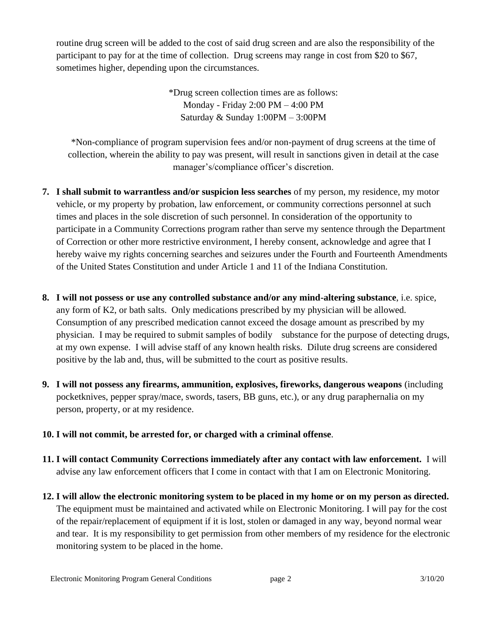routine drug screen will be added to the cost of said drug screen and are also the responsibility of the participant to pay for at the time of collection. Drug screens may range in cost from \$20 to \$67, sometimes higher, depending upon the circumstances.

> \*Drug screen collection times are as follows: Monday - Friday 2:00 PM – 4:00 PM Saturday & Sunday 1:00PM – 3:00PM

\*Non-compliance of program supervision fees and/or non-payment of drug screens at the time of collection, wherein the ability to pay was present, will result in sanctions given in detail at the case manager's/compliance officer's discretion.

- **7. I shall submit to warrantless and/or suspicion less searches** of my person, my residence, my motor vehicle, or my property by probation, law enforcement, or community corrections personnel at such times and places in the sole discretion of such personnel. In consideration of the opportunity to participate in a Community Corrections program rather than serve my sentence through the Department of Correction or other more restrictive environment, I hereby consent, acknowledge and agree that I hereby waive my rights concerning searches and seizures under the Fourth and Fourteenth Amendments of the United States Constitution and under Article 1 and 11 of the Indiana Constitution.
- **8. I will not possess or use any controlled substance and/or any mind-altering substance**, i.e. spice, any form of K2, or bath salts. Only medications prescribed by my physician will be allowed. Consumption of any prescribed medication cannot exceed the dosage amount as prescribed by my physician. I may be required to submit samples of bodily substance for the purpose of detecting drugs, at my own expense. I will advise staff of any known health risks. Dilute drug screens are considered positive by the lab and, thus, will be submitted to the court as positive results.
- **9. I will not possess any firearms, ammunition, explosives, fireworks, dangerous weapons** (including pocketknives, pepper spray/mace, swords, tasers, BB guns, etc.), or any drug paraphernalia on my person, property, or at my residence.
- **10. I will not commit, be arrested for, or charged with a criminal offense**.
- **11. I will contact Community Corrections immediately after any contact with law enforcement.** I will advise any law enforcement officers that I come in contact with that I am on Electronic Monitoring.
- **12. I will allow the electronic monitoring system to be placed in my home or on my person as directed.** The equipment must be maintained and activated while on Electronic Monitoring. I will pay for the cost of the repair/replacement of equipment if it is lost, stolen or damaged in any way, beyond normal wear and tear. It is my responsibility to get permission from other members of my residence for the electronic monitoring system to be placed in the home.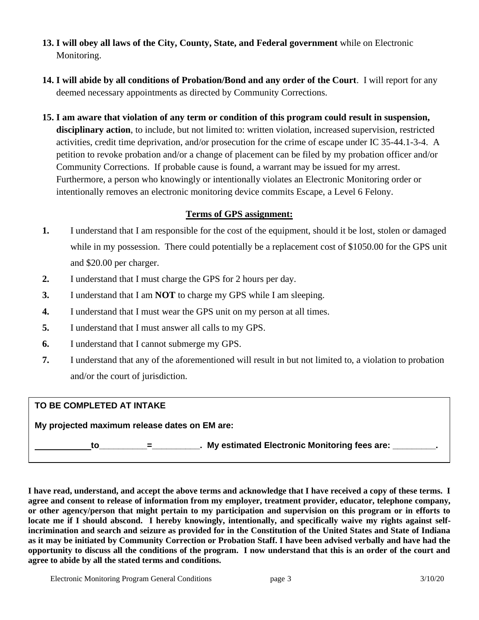- **13. I will obey all laws of the City, County, State, and Federal government** while on Electronic Monitoring.
- **14. I will abide by all conditions of Probation/Bond and any order of the Court**. I will report for any deemed necessary appointments as directed by Community Corrections.
- **15. I am aware that violation of any term or condition of this program could result in suspension, disciplinary action**, to include, but not limited to: written violation, increased supervision, restricted activities, credit time deprivation, and/or prosecution for the crime of escape under IC 35-44.1-3-4. A petition to revoke probation and/or a change of placement can be filed by my probation officer and/or Community Corrections. If probable cause is found, a warrant may be issued for my arrest. Furthermore, a person who knowingly or intentionally violates an Electronic Monitoring order or intentionally removes an electronic monitoring device commits Escape, a Level 6 Felony.

## **Terms of GPS assignment:**

- **1.** I understand that I am responsible for the cost of the equipment, should it be lost, stolen or damaged while in my possession. There could potentially be a replacement cost of \$1050.00 for the GPS unit and \$20.00 per charger.
- **2.** I understand that I must charge the GPS for 2 hours per day.
- **3.** I understand that I am **NOT** to charge my GPS while I am sleeping.
- **4.** I understand that I must wear the GPS unit on my person at all times.
- **5.** I understand that I must answer all calls to my GPS.
- **6.** I understand that I cannot submerge my GPS.
- **7.** I understand that any of the aforementioned will result in but not limited to, a violation to probation and/or the court of jurisdiction.

## **TO BE COMPLETED AT INTAKE**

**My projected maximum release dates on EM are:** 

**to\_\_\_\_\_\_\_\_\_\_=\_\_\_\_\_\_\_\_\_\_. My estimated Electronic Monitoring fees are: \_\_\_\_\_\_\_\_\_.** 

**I have read, understand, and accept the above terms and acknowledge that I have received a copy of these terms. I agree and consent to release of information from my employer, treatment provider, educator, telephone company, or other agency/person that might pertain to my participation and supervision on this program or in efforts to locate me if I should abscond. I hereby knowingly, intentionally, and specifically waive my rights against selfincrimination and search and seizure as provided for in the Constitution of the United States and State of Indiana as it may be initiated by Community Correction or Probation Staff. I have been advised verbally and have had the opportunity to discuss all the conditions of the program. I now understand that this is an order of the court and agree to abide by all the stated terms and conditions.**